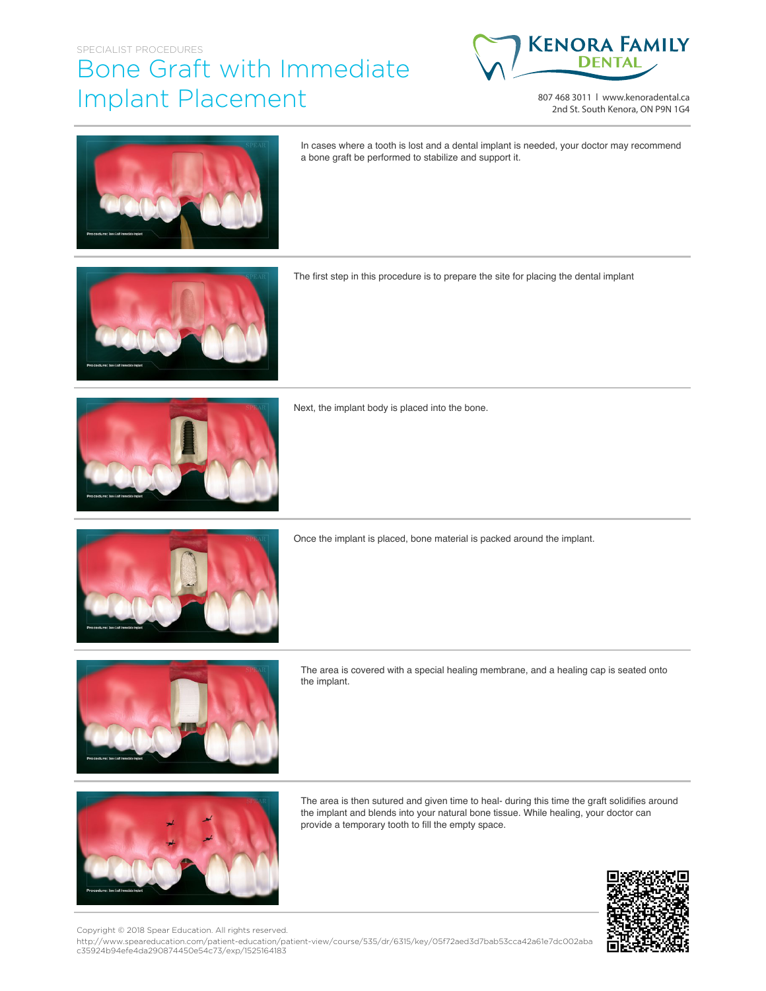## SPECIALIST PROCEDURES Bone Graft with Immediate Implant Placement



807 468 3011 | www.kenoradental.ca 2nd St. South Kenora, ON P9N 1G4



In cases where a tooth is lost and a dental implant is needed, your doctor may recommend a bone graft be performed to stabilize and support it.



The first step in this procedure is to prepare the site for placing the dental implant



Next, the implant body is placed into the bone.



Once the implant is placed, bone material is packed around the implant.



The area is covered with a special healing membrane, and a healing cap is seated onto the implant.



The area is then sutured and given time to heal- during this time the graft solidifies around the implant and blends into your natural bone tissue. While healing, your doctor can provide a temporary tooth to fill the empty space.



Copyright © 2018 Spear Education. All rights reserved.

http://www.speareducation.com/patient-education/patient-view/course/535/dr/6315/key/05f72aed3d7bab53cca42a61e7dc002aba c35924b94efe4da290874450e54c73/exp/1525164183